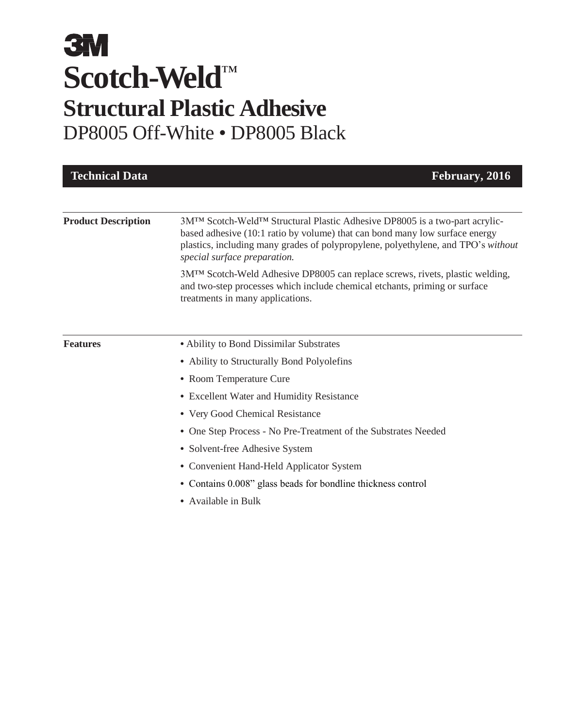| <b>Technical Data</b>      | February, 2016                                                                                                                                                                                                                                                                 |
|----------------------------|--------------------------------------------------------------------------------------------------------------------------------------------------------------------------------------------------------------------------------------------------------------------------------|
|                            |                                                                                                                                                                                                                                                                                |
| <b>Product Description</b> | 3M™ Scotch-Weld™ Structural Plastic Adhesive DP8005 is a two-part acrylic-<br>based adhesive (10:1 ratio by volume) that can bond many low surface energy<br>plastics, including many grades of polypropylene, polyethylene, and TPO's without<br>special surface preparation. |
|                            | 3M™ Scotch-Weld Adhesive DP8005 can replace screws, rivets, plastic welding,<br>and two-step processes which include chemical etchants, priming or surface<br>treatments in many applications.                                                                                 |
|                            |                                                                                                                                                                                                                                                                                |
| <b>Features</b>            | • Ability to Bond Dissimilar Substrates                                                                                                                                                                                                                                        |
|                            | • Ability to Structurally Bond Polyolefins                                                                                                                                                                                                                                     |
|                            | • Room Temperature Cure                                                                                                                                                                                                                                                        |
|                            | • Excellent Water and Humidity Resistance                                                                                                                                                                                                                                      |
|                            | • Very Good Chemical Resistance                                                                                                                                                                                                                                                |
|                            | • One Step Process - No Pre-Treatment of the Substrates Needed                                                                                                                                                                                                                 |
|                            | • Solvent-free Adhesive System                                                                                                                                                                                                                                                 |
|                            | • Convenient Hand-Held Applicator System                                                                                                                                                                                                                                       |
|                            | • Contains 0.008" glass beads for bondline thickness control                                                                                                                                                                                                                   |
|                            | • Available in Bulk                                                                                                                                                                                                                                                            |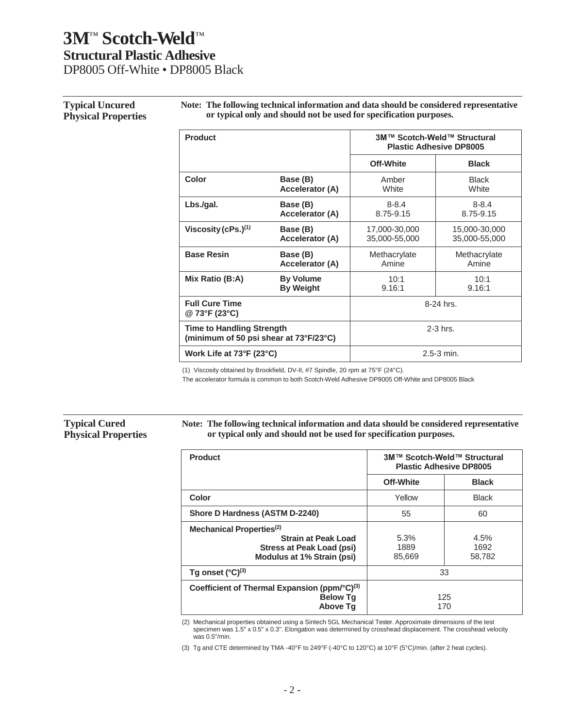## **Typical Uncured Physical Properties**

**Note: The following technical information and data should be considered representative or typical only and should not be used for specification purposes.**

| <b>Product</b>                                                             |                        | 3M™ Scotch-Weld™ Structural<br><b>Plastic Adhesive DP8005</b> |               |  |
|----------------------------------------------------------------------------|------------------------|---------------------------------------------------------------|---------------|--|
|                                                                            |                        | Off-White                                                     | <b>Black</b>  |  |
| Color                                                                      | Base (B)               | Amber                                                         | <b>Black</b>  |  |
|                                                                            | Accelerator (A)        | White                                                         | White         |  |
| Lbs/gal.                                                                   | Base (B)               | $8 - 8.4$                                                     | $8 - 8.4$     |  |
|                                                                            | Accelerator (A)        | 8.75-9.15                                                     | 8.75-9.15     |  |
| Viscosity (cPs.) $(1)$                                                     | Base (B)               | 17,000-30,000                                                 | 15,000-30,000 |  |
|                                                                            | <b>Accelerator (A)</b> | 35,000-55,000                                                 | 35,000-55,000 |  |
| <b>Base Resin</b>                                                          | Base (B)               | Methacrylate                                                  | Methacrylate  |  |
|                                                                            | <b>Accelerator (A)</b> | Amine                                                         | Amine         |  |
| Mix Ratio (B:A)                                                            | <b>By Volume</b>       | 10:1                                                          | 10:1          |  |
|                                                                            | <b>By Weight</b>       | 9.16:1                                                        | 9.16:1        |  |
| <b>Full Cure Time</b><br>@ 73°F (23°C)                                     |                        |                                                               | 8-24 hrs.     |  |
| <b>Time to Handling Strength</b><br>(minimum of 50 psi shear at 73°F/23°C) |                        |                                                               | $2-3$ hrs.    |  |
| Work Life at 73°F (23°C)                                                   |                        | $2.5 - 3$ min.                                                |               |  |

(1) Viscosity obtained by Brookfield, DV-II, #7 Spindle, 20 rpm at 75°F (24°C).

The accelerator formula is common to both Scotch-Weld Adhesive DP8005 Off-White and DP8005 Black

#### **Typical Cured Physical Properties**

**Note: The following technical information and data should be considered representative or typical only and should not be used for specification purposes.**

| <b>Product</b>                                                                          | 3M™ Scotch-Weld™ Structural<br><b>Plastic Adhesive DP8005</b> |              |
|-----------------------------------------------------------------------------------------|---------------------------------------------------------------|--------------|
|                                                                                         | <b>Off-White</b>                                              | <b>Black</b> |
| <b>Color</b>                                                                            | Yellow                                                        | <b>Black</b> |
| Shore D Hardness (ASTM D-2240)                                                          | 55                                                            | 60           |
| Mechanical Properties <sup>(2)</sup>                                                    |                                                               |              |
| <b>Strain at Peak Load</b>                                                              | 5.3%                                                          | 4.5%         |
| <b>Stress at Peak Load (psi)</b>                                                        | 1889                                                          | 1692         |
| Modulus at 1% Strain (psi)                                                              | 85,669                                                        | 58,782       |
| Tg onset $(^{\circ}C)^{(3)}$                                                            | 33                                                            |              |
| Coefficient of Thermal Expansion (ppm/°C) <sup>(3)</sup><br><b>Below Tg</b><br>Above Tq | 125<br>170                                                    |              |

(2) Mechanical properties obtained using a Sintech 5GL Mechanical Tester. Approximate dimensions of the test specimen was 1.5" x 0.5" x 0.3". Elongation was determined by crosshead displacement. The crosshead velocity was 0.5"/min.

(3) Tg and CTE determined by TMA -40°F to 249°F (-40°C to 120°C) at 10°F (5°C)/min. (after 2 heat cycles).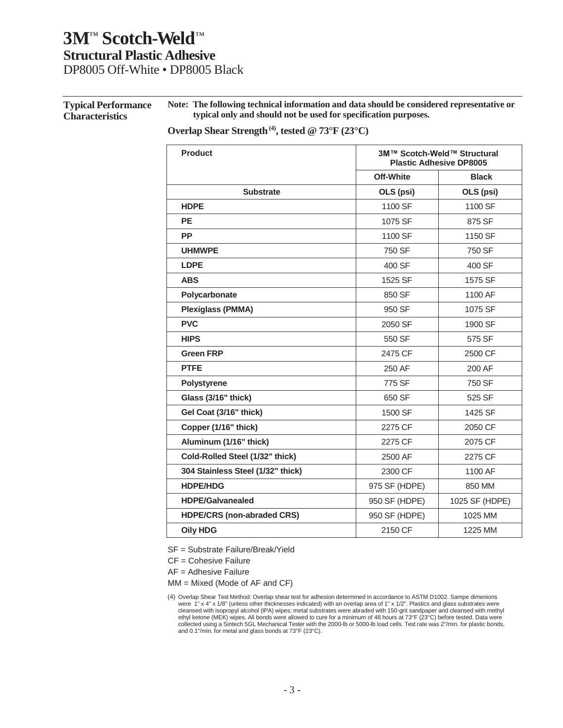**Typical Performance Characteristics Note: The following technical information and data should be considered representative or typical only and should not be used for specification purposes.**

**Overlap Shear Strength(4) , tested @ 73°F (23°C)**

| <b>Product</b>                    |                  | 3M™ Scotch-Weld™ Structural<br><b>Plastic Adhesive DP8005</b> |  |
|-----------------------------------|------------------|---------------------------------------------------------------|--|
|                                   | <b>Off-White</b> | <b>Black</b>                                                  |  |
| <b>Substrate</b>                  | OLS (psi)        | OLS (psi)                                                     |  |
| <b>HDPE</b>                       | 1100 SF          | 1100 SF                                                       |  |
| <b>PE</b>                         | 1075 SF          | 875 SF                                                        |  |
| <b>PP</b>                         | 1100 SF          | 1150 SF                                                       |  |
| <b>UHMWPE</b>                     | 750 SF           | 750 SF                                                        |  |
| <b>LDPE</b>                       | 400 SF           | 400 SF                                                        |  |
| <b>ABS</b>                        | 1525 SF          | 1575 SF                                                       |  |
| Polycarbonate                     | 850 SF           | 1100 AF                                                       |  |
| <b>Plexiglass (PMMA)</b>          | 950 SF           | 1075 SF                                                       |  |
| <b>PVC</b>                        | 2050 SF          | 1900 SF                                                       |  |
| <b>HIPS</b>                       | 550 SF           | 575 SF                                                        |  |
| <b>Green FRP</b>                  | 2475 CF          | 2500 CF                                                       |  |
| <b>PTFE</b>                       | 250 AF           | 200 AF                                                        |  |
| <b>Polystyrene</b>                | 775 SF           | 750 SF                                                        |  |
| Glass (3/16" thick)               | 650 SF           | 525 SF                                                        |  |
| Gel Coat (3/16" thick)            | 1500 SF          | 1425 SF                                                       |  |
| Copper (1/16" thick)              | 2275 CF          | 2050 CF                                                       |  |
| Aluminum (1/16" thick)            | 2275 CF          | 2075 CF                                                       |  |
| Cold-Rolled Steel (1/32" thick)   | 2500 AF          | 2275 CF                                                       |  |
| 304 Stainless Steel (1/32" thick) | 2300 CF          | 1100 AF                                                       |  |
| <b>HDPE/HDG</b>                   | 975 SF (HDPE)    | 850 MM                                                        |  |
| <b>HDPE/Galvanealed</b>           | 950 SF (HDPE)    | 1025 SF (HDPE)                                                |  |
| <b>HDPE/CRS (non-abraded CRS)</b> | 950 SF (HDPE)    | 1025 MM                                                       |  |
| <b>Oily HDG</b>                   | 2150 CF          | 1225 MM                                                       |  |

SF = Substrate Failure/Break/Yield

CF = Cohesive Failure

AF = Adhesive Failure

MM = Mixed (Mode of AF and CF)

<sup>(4)</sup> Overlap Shear Test Method: Overlap shear test for adhesion determined in accordance to ASTM D1002. Sampe dimenions were 1" x 4" x 1/8" (unless other thicknesses indicated) with an overlap area of 1" x 1/2". Plastics and glass substrates were cleansed with isopropyl alcohol (IPA) wipes; metal substrates were abraded with 150-grit sandpaper and cleansed with methyl ethyl ketone (MEK) wipes. All bonds were allowed to cure for a minimum of 48 hours at 73°F (23°C) before tested. Data were<br>collected using a Sintech 5GL Mechanical Tester with the 2000-lb or 5000-lb load cells. Test rate w and 0.1"/min. for metal and glass bonds at 73°F (23°C).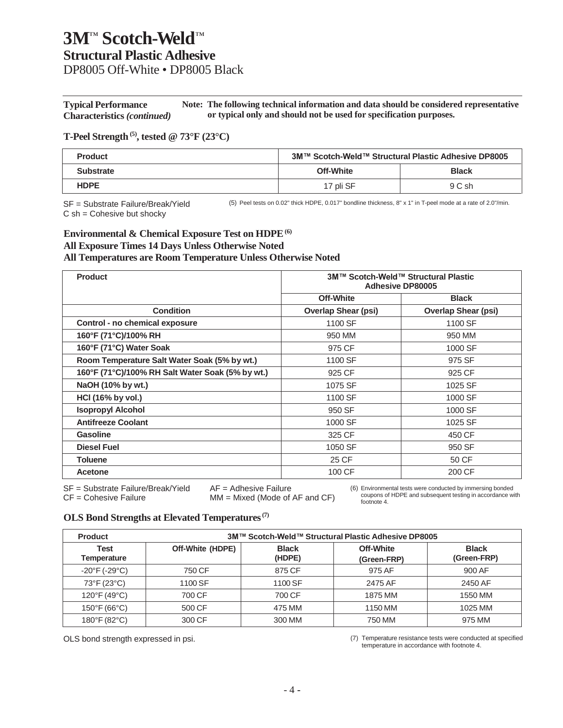**Typical Performance Characteristics** *(continued)* **Note: The following technical information and data should be considered representative or typical only and should not be used for specification purposes.**

### **T-Peel Strength(5) , tested @ 73°F (23°C)**

| <b>Product</b>   | 3M™ Scotch-Weld™ Structural Plastic Adhesive DP8005 |              |
|------------------|-----------------------------------------------------|--------------|
| <b>Substrate</b> | Off-White                                           | <b>Black</b> |
| <b>HDPE</b>      | 17 pli SF                                           | 9 C sh       |

SF = Substrate Failure/Break/Yield C sh = Cohesive but shocky

(5) Peel tests on 0.02" thick HDPE, 0.017" bondline thickness, 8" x 1" in T-peel mode at a rate of 2.0"/min.

### **Environmental & Chemical Exposure Test on HDPE(6) All Exposure Times 14 Days Unless Otherwise Noted All Temperatures are Room Temperature Unless Otherwise Noted**

| <b>Product</b>                                   | 3M™ Scotch-Weld™ Structural Plastic<br><b>Adhesive DP80005</b> |                            |
|--------------------------------------------------|----------------------------------------------------------------|----------------------------|
|                                                  | <b>Off-White</b>                                               | <b>Black</b>               |
| <b>Condition</b>                                 | <b>Overlap Shear (psi)</b>                                     | <b>Overlap Shear (psi)</b> |
| Control - no chemical exposure                   | 1100 SF                                                        | 1100 SF                    |
| 160°F (71°C)/100% RH                             | 950 MM                                                         | 950 MM                     |
| 160°F (71°C) Water Soak                          | 975 CF                                                         | 1000 SF                    |
| Room Temperature Salt Water Soak (5% by wt.)     | 1100 SF                                                        | 975 SF                     |
| 160°F (71°C)/100% RH Salt Water Soak (5% by wt.) | 925 CF                                                         | 925 CF                     |
| NaOH (10% by wt.)                                | 1075 SF                                                        | 1025 SF                    |
| HCI (16% by vol.)                                | 1100 SF                                                        | 1000 SF                    |
| <b>Isopropyl Alcohol</b>                         | 950 SF                                                         | 1000 SF                    |
| <b>Antifreeze Coolant</b>                        | 1000 SF                                                        | 1025 SF                    |
| Gasoline                                         | 325 CF                                                         | 450 CF                     |
| <b>Diesel Fuel</b>                               | 1050 SF                                                        | 950 SF                     |
| <b>Toluene</b>                                   | 25 CF                                                          | 50 CF                      |
| Acetone                                          | 100 CF                                                         | 200 CF                     |

SF = Substrate Failure/Break/Yield AF = Adhesive Failure

 $CF = \text{Cohesive Failure}$  MM = Mixed (Mode of AF and  $CF$ )

(6) Environmental tests were conducted by immersing bonded coupons of HDPE and subsequent testing in accordance with footnote 4.

## **OLS Bond Strengths at Elevated Temperatures(7)**

| <b>Product</b>                     | 3M™ Scotch-Weld™ Structural Plastic Adhesive DP8005 |                        |                          |                             |
|------------------------------------|-----------------------------------------------------|------------------------|--------------------------|-----------------------------|
| Test<br>Temperature                | Off-White (HDPE)                                    | <b>Black</b><br>(HDPE) | Off-White<br>(Green-FRP) | <b>Black</b><br>(Green-FRP) |
| $-20^{\circ}$ F (-29 $^{\circ}$ C) | 750 CF                                              | 875 CF                 | 975 AF                   | 900 AF                      |
| 73°F (23°C)                        | 1100 SF                                             | 1100 SF                | 2475 AF                  | 2450 AF                     |
| $120^{\circ}F(49^{\circ}C)$        | 700 CF                                              | 700 CF                 | 1875 MM                  | 1550 MM                     |
| 150°F (66°C)                       | 500 CF                                              | 475 MM                 | 1150 MM                  | 1025 MM                     |
| $180^{\circ}$ F (82 $^{\circ}$ C)  | 300 CF                                              | 300 MM                 | 750 MM                   | 975 MM                      |

OLS bond strength expressed in psi. (7) Temperature resistance tests were conducted at specified temperature in accordance with footnote 4.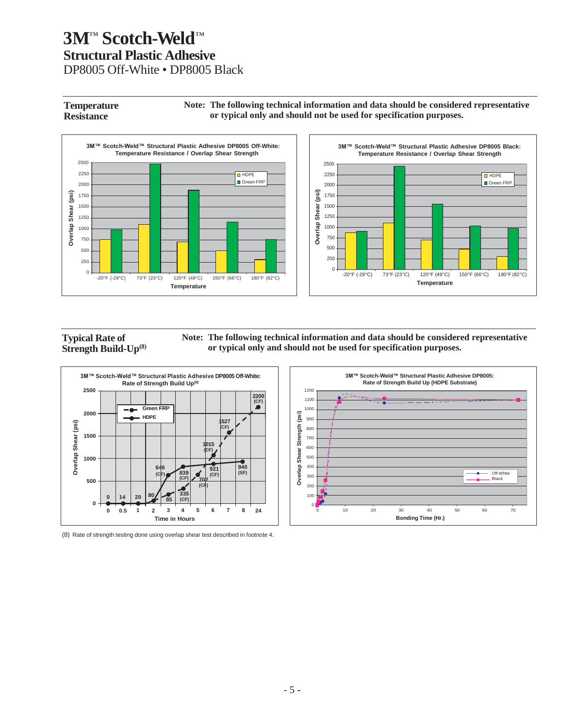**Temperature Resistance Note: The following technical information and data should be considered representative or typical only and should not be used for specification purposes.**



**Typical Rate of Strength Build-Up(8)** **Note: The following technical information and data should be considered representative or typical only and should not be used for specification purposes.**



(8) Rate of strength testing done using overlap shear test described in footnote 4.



 $\overline{H}$  HDPE Green FRP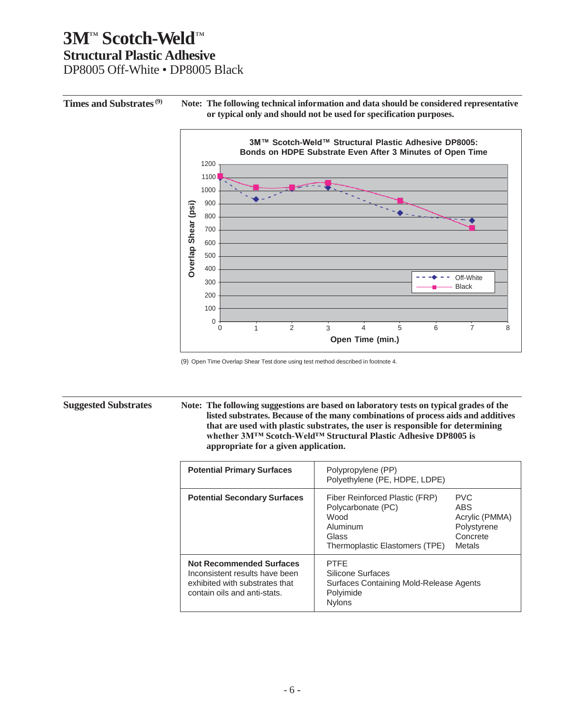**Times and Substrates(9) Note: The following technical information and data should be considered representative or typical only and should not be used for specification purposes.**



(9) Open Time Overlap Shear Test done using test method described in footnote 4.

**Suggested Substrates Note: The following suggestions are based on laboratory tests on typical grades of the listed substrates. Because of the many combinations of process aids and additives that are used with plastic substrates, the user is responsible for determining whether 3M™ Scotch-Weld™ Structural Plastic Adhesive DP8005 is appropriate for a given application.**

| <b>Potential Primary Surfaces</b>                                                                                                   | Polypropylene (PP)<br>Polyethylene (PE, HDPE, LDPE)                                                                 |                                                                          |
|-------------------------------------------------------------------------------------------------------------------------------------|---------------------------------------------------------------------------------------------------------------------|--------------------------------------------------------------------------|
| <b>Potential Secondary Surfaces</b>                                                                                                 | Fiber Reinforced Plastic (FRP)<br>Polycarbonate (PC)<br>Wood<br>Aluminum<br>Glass<br>Thermoplastic Elastomers (TPE) | <b>PVC</b><br>ABS<br>Acrylic (PMMA)<br>Polystyrene<br>Concrete<br>Metals |
| <b>Not Recommended Surfaces</b><br>Inconsistent results have been<br>exhibited with substrates that<br>contain oils and anti-stats. | <b>PTFF</b><br>Silicone Surfaces<br>Surfaces Containing Mold-Release Agents<br>Polyimide<br><b>Nylons</b>           |                                                                          |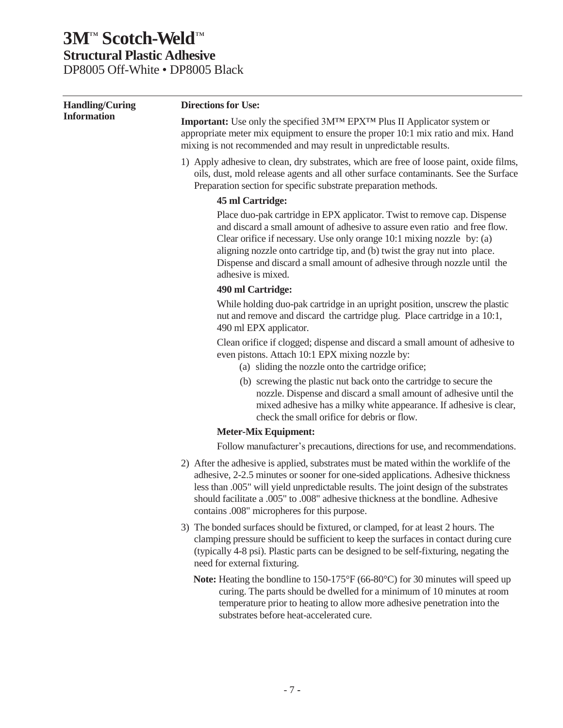| <b>Handling/Curing</b> | <b>Directions for Use:</b>                                                                                                                                                                                                                                                                                                                                                                                       |
|------------------------|------------------------------------------------------------------------------------------------------------------------------------------------------------------------------------------------------------------------------------------------------------------------------------------------------------------------------------------------------------------------------------------------------------------|
| <b>Information</b>     | <b>Important:</b> Use only the specified 3M <sup>TM</sup> EPX <sup>TM</sup> Plus II Applicator system or<br>appropriate meter mix equipment to ensure the proper 10:1 mix ratio and mix. Hand<br>mixing is not recommended and may result in unpredictable results.                                                                                                                                              |
|                        | 1) Apply adhesive to clean, dry substrates, which are free of loose paint, oxide films,<br>oils, dust, mold release agents and all other surface contaminants. See the Surface<br>Preparation section for specific substrate preparation methods.                                                                                                                                                                |
|                        | 45 ml Cartridge:                                                                                                                                                                                                                                                                                                                                                                                                 |
|                        | Place duo-pak cartridge in EPX applicator. Twist to remove cap. Dispense<br>and discard a small amount of adhesive to assure even ratio and free flow.<br>Clear orifice if necessary. Use only orange 10:1 mixing nozzle by: (a)<br>aligning nozzle onto cartridge tip, and (b) twist the gray nut into place.<br>Dispense and discard a small amount of adhesive through nozzle until the<br>adhesive is mixed. |
|                        | 490 ml Cartridge:                                                                                                                                                                                                                                                                                                                                                                                                |
|                        | While holding duo-pak cartridge in an upright position, unscrew the plastic<br>nut and remove and discard the cartridge plug. Place cartridge in a 10:1,<br>490 ml EPX applicator.                                                                                                                                                                                                                               |
|                        | Clean orifice if clogged; dispense and discard a small amount of adhesive to<br>even pistons. Attach 10:1 EPX mixing nozzle by:<br>(a) sliding the nozzle onto the cartridge orifice;                                                                                                                                                                                                                            |
|                        | (b) screwing the plastic nut back onto the cartridge to secure the<br>nozzle. Dispense and discard a small amount of adhesive until the<br>mixed adhesive has a milky white appearance. If adhesive is clear,<br>check the small orifice for debris or flow.                                                                                                                                                     |
|                        | <b>Meter-Mix Equipment:</b>                                                                                                                                                                                                                                                                                                                                                                                      |
|                        | Follow manufacturer's precautions, directions for use, and recommendations.                                                                                                                                                                                                                                                                                                                                      |
|                        | 2) After the adhesive is applied, substrates must be mated within the worklife of the<br>adhesive, 2-2.5 minutes or sooner for one-sided applications. Adhesive thickness<br>less than .005" will yield unpredictable results. The joint design of the substrates<br>should facilitate a .005" to .008" adhesive thickness at the bondline. Adhesive<br>contains .008" micropheres for this purpose.             |
|                        | 3) The bonded surfaces should be fixtured, or clamped, for at least 2 hours. The<br>clamping pressure should be sufficient to keep the surfaces in contact during cure<br>(typically 4-8 psi). Plastic parts can be designed to be self-fixturing, negating the<br>need for external fixturing.                                                                                                                  |
|                        | Note: Heating the bondline to 150-175°F (66-80°C) for 30 minutes will speed up<br>curing. The parts should be dwelled for a minimum of 10 minutes at room<br>temperature prior to heating to allow more adhesive penetration into the<br>substrates before heat-accelerated cure.                                                                                                                                |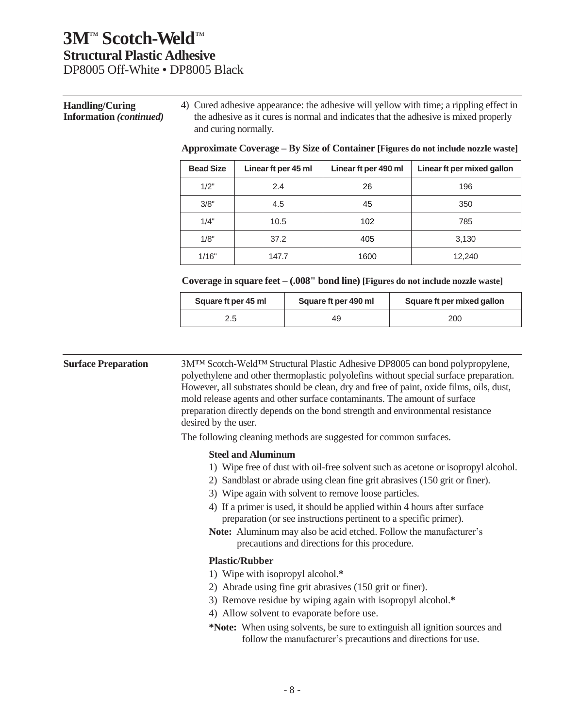#### **Handling/Curing Information** *(continued)* 4) Cured adhesive appearance: the adhesive will yellow with time; a rippling effect in the adhesive as it cures is normal and indicates that the adhesive is mixed properly and curing normally.

| <b>Bead Size</b> | Linear ft per 45 ml | Linear ft per 490 ml | Linear ft per mixed gallon |
|------------------|---------------------|----------------------|----------------------------|
| 1/2"             | 2.4                 | 26                   | 196                        |
| 3/8"             | 4.5                 | 45                   | 350                        |
| 1/4"             | 10.5                | 102                  | 785                        |
| 1/8"             | 37.2                | 405                  | 3,130                      |
| 1/16"            | 147.7               | 1600                 | 12,240                     |

#### **Approximate Coverage – By Size of Container [Figures do not include nozzle waste]**

#### **Coverage in square feet – (.008" bond line) [Figures do not include nozzle waste]**

| Square ft per 45 ml | Square ft per 490 ml | Square ft per mixed gallon |
|---------------------|----------------------|----------------------------|
| 2.5                 | 49                   | 200                        |

**Surface Preparation** 3M™ Scotch-Weld™ Structural Plastic Adhesive DP8005 can bond polypropylene, polyethylene and other thermoplastic polyolefins without special surface preparation. However, all substrates should be clean, dry and free of paint, oxide films, oils, dust, mold release agents and other surface contaminants. The amount of surface preparation directly depends on the bond strength and environmental resistance desired by the user.

The following cleaning methods are suggested for common surfaces.

#### **Steel and Aluminum**

- 1) Wipe free of dust with oil-free solvent such as acetone or isopropyl alcohol.
- 2) Sandblast or abrade using clean fine grit abrasives (150 grit or finer).
- 3) Wipe again with solvent to remove loose particles.
- 4) If a primer is used, it should be applied within 4 hours after surface preparation (or see instructions pertinent to a specific primer).
- **Note:** Aluminum may also be acid etched. Follow the manufacturer's precautions and directions for this procedure.

#### **Plastic/Rubber**

- 1) Wipe with isopropyl alcohol.**\***
- 2) Abrade using fine grit abrasives (150 grit or finer).
- 3) Remove residue by wiping again with isopropyl alcohol.**\***
- 4) Allow solvent to evaporate before use.
- **\*Note:** When using solvents, be sure to extinguish all ignition sources and follow the manufacturer's precautions and directions for use.